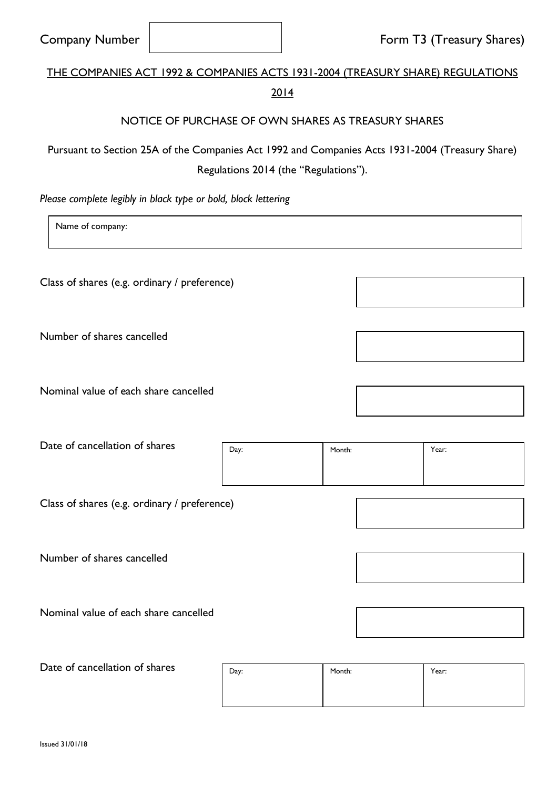| <b>Company Number</b>                                                                           |                                                     |                                       |        | Form T3 (Treasury Shares) |
|-------------------------------------------------------------------------------------------------|-----------------------------------------------------|---------------------------------------|--------|---------------------------|
| <b>THE COMPANIES ACT 1992 &amp; COMPANIES ACTS 1931-2004 (TREASURY SHARE) REGULATIONS</b>       |                                                     | 2014                                  |        |                           |
|                                                                                                 | NOTICE OF PURCHASE OF OWN SHARES AS TREASURY SHARES |                                       |        |                           |
| Pursuant to Section 25A of the Companies Act 1992 and Companies Acts 1931-2004 (Treasury Share) |                                                     | Regulations 2014 (the "Regulations"). |        |                           |
| Please complete legibly in black type or bold, block lettering                                  |                                                     |                                       |        |                           |
| Name of company:                                                                                |                                                     |                                       |        |                           |
| Class of shares (e.g. ordinary / preference)                                                    |                                                     |                                       |        |                           |
| Number of shares cancelled                                                                      |                                                     |                                       |        |                           |
| Nominal value of each share cancelled                                                           |                                                     |                                       |        |                           |
| Date of cancellation of shares                                                                  |                                                     | Day:                                  | Month: | Year:                     |
| Class of shares (e.g. ordinary / preference)                                                    |                                                     |                                       |        |                           |
| Number of shares cancelled                                                                      |                                                     |                                       |        |                           |
| Nominal value of each share cancelled                                                           |                                                     |                                       |        |                           |
| Date of cancellation of shares                                                                  |                                                     | Day:                                  | Month: | Year:                     |

 $\overline{\phantom{a}}$ 

 $\overline{1}$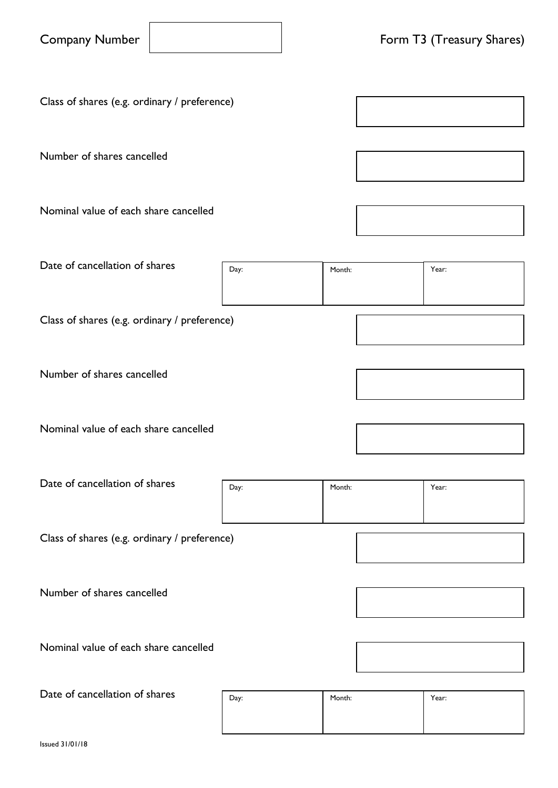| <b>Company Number</b> |  |  |
|-----------------------|--|--|
|-----------------------|--|--|

Class of shares (e.g. ordinary / preference)

Number of shares cancelled

Nominal value of each share cancelled

Date of cancellation of shares Class of shares (e.g. ordinary / preference) Day: **Nonth:** Nonth: **Year:** Year:

Number of shares cancelled

Nominal value of each share cancelled

Date of cancellation of shares Day: Month: Year:

Class of shares (e.g. ordinary / preference)

Number of shares cancelled

Nominal value of each share cancelled

Date of cancellation of shares

| Day: | Month: | Year: |
|------|--------|-------|
|      |        |       |
|      |        |       |

Issued 31/01/18